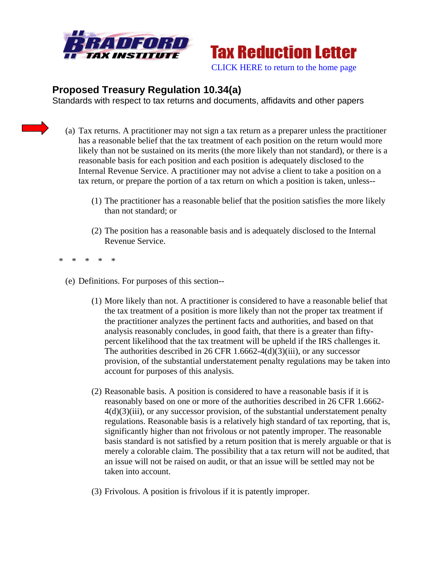



## **Proposed Treasury Regulation 10.34(a)**

Standards with respect to tax returns and documents, affidavits and other papers

- (a) Tax returns. A practitioner may not sign a tax return as a preparer unless the practitioner has a reasonable belief that the tax treatment of each position on the return would more likely than not be sustained on its merits (the more likely than not standard), or there is a reasonable basis for each position and each position is adequately disclosed to the Internal Revenue Service. A practitioner may not advise a client to take a position on a tax return, or prepare the portion of a tax return on which a position is taken, unless--
	- (1) The practitioner has a reasonable belief that the position satisfies the more likely than not standard; or
	- (2) The position has a reasonable basis and is adequately disclosed to the Internal Revenue Service.
- \* \* \* \* \*
	- (e) Definitions. For purposes of this section--
		- (1) More likely than not. A practitioner is considered to have a reasonable belief that the tax treatment of a position is more likely than not the proper tax treatment if the practitioner analyzes the pertinent facts and authorities, and based on that analysis reasonably concludes, in good faith, that there is a greater than fiftypercent likelihood that the tax treatment will be upheld if the IRS challenges it. The authorities described in 26 CFR 1.6662-4(d)(3)(iii), or any successor provision, of the substantial understatement penalty regulations may be taken into account for purposes of this analysis.
		- (2) Reasonable basis. A position is considered to have a reasonable basis if it is reasonably based on one or more of the authorities described in 26 CFR 1.6662-  $4(d)(3)(iii)$ , or any successor provision, of the substantial understatement penalty regulations. Reasonable basis is a relatively high standard of tax reporting, that is, significantly higher than not frivolous or not patently improper. The reasonable basis standard is not satisfied by a return position that is merely arguable or that is merely a colorable claim. The possibility that a tax return will not be audited, that an issue will not be raised on audit, or that an issue will be settled may not be taken into account.
		- (3) Frivolous. A position is frivolous if it is patently improper.